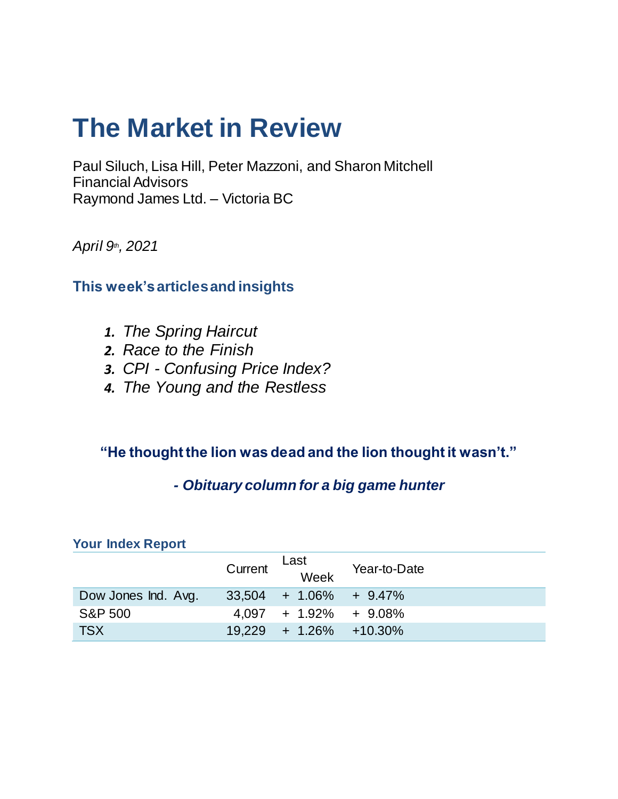# **The Market in Review**

Paul Siluch, Lisa Hill, Peter Mazzoni, and Sharon Mitchell Financial Advisors Raymond James Ltd. – Victoria BC

*April 9th, 2021*

### **This week's articles and insights**

- *1. The Spring Haircut*
- *2. Race to the Finish*
- *3. CPI - Confusing Price Index?*
- *4. The Young and the Restless*

### **"He thought the lion was dead and the lion thought it wasn't."**

### *- Obituary column for a big game hunter*

| $\sim$              |         |                             |              |  |  |
|---------------------|---------|-----------------------------|--------------|--|--|
|                     | Current | Last<br>Week                | Year-to-Date |  |  |
| Dow Jones Ind. Avg. |         | $33,504$ + 1.06% + 9.47%    |              |  |  |
| <b>S&amp;P 500</b>  |         | $4.097 + 1.92\% + 9.08\%$   |              |  |  |
| <b>TSX</b>          |         | $19,229 + 1.26\% + 10.30\%$ |              |  |  |

#### **Your Index Report**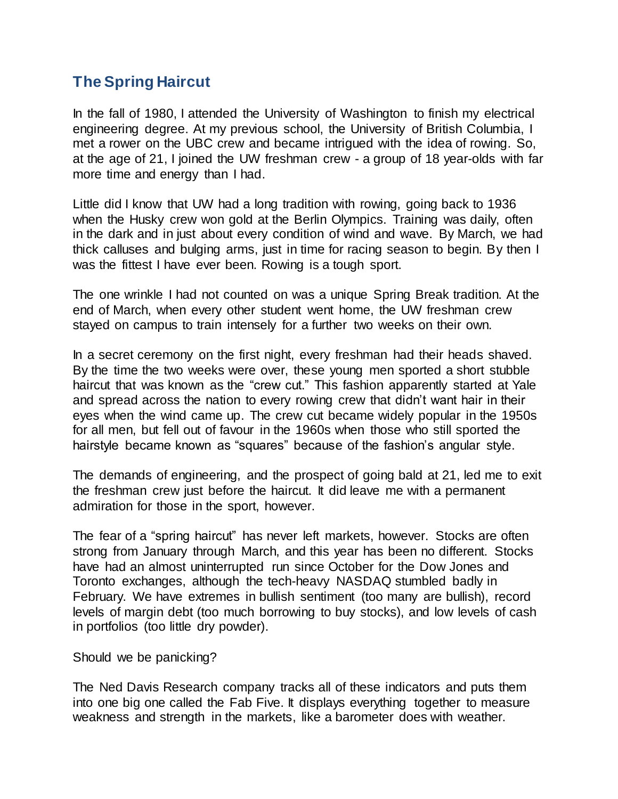### **The Spring Haircut**

In the fall of 1980, I attended the University of Washington to finish my electrical engineering degree. At my previous school, the University of British Columbia, I met a rower on the UBC crew and became intrigued with the idea of rowing. So, at the age of 21, I joined the UW freshman crew - a group of 18 year-olds with far more time and energy than I had.

Little did I know that UW had a long tradition with rowing, going back to 1936 when the Husky crew won gold at the Berlin Olympics. Training was daily, often in the dark and in just about every condition of wind and wave. By March, we had thick calluses and bulging arms, just in time for racing season to begin. By then I was the fittest I have ever been. Rowing is a tough sport.

The one wrinkle I had not counted on was a unique Spring Break tradition. At the end of March, when every other student went home, the UW freshman crew stayed on campus to train intensely for a further two weeks on their own.

In a secret ceremony on the first night, every freshman had their heads shaved. By the time the two weeks were over, these young men sported a short stubble haircut that was known as the "crew cut." This fashion apparently started at Yale and spread across the nation to every rowing crew that didn't want hair in their eyes when the wind came up. The crew cut became widely popular in the 1950s for all men, but fell out of favour in the 1960s when those who still sported the hairstyle became known as "squares" because of the fashion's angular style.

The demands of engineering, and the prospect of going bald at 21, led me to exit the freshman crew just before the haircut. It did leave me with a permanent admiration for those in the sport, however.

The fear of a "spring haircut" has never left markets, however. Stocks are often strong from January through March, and this year has been no different. Stocks have had an almost uninterrupted run since October for the Dow Jones and Toronto exchanges, although the tech-heavy NASDAQ stumbled badly in February. We have extremes in bullish sentiment (too many are bullish), record levels of margin debt (too much borrowing to buy stocks), and low levels of cash in portfolios (too little dry powder).

Should we be panicking?

The Ned Davis Research company tracks all of these indicators and puts them into one big one called the Fab Five. It displays everything together to measure weakness and strength in the markets, like a barometer does with weather.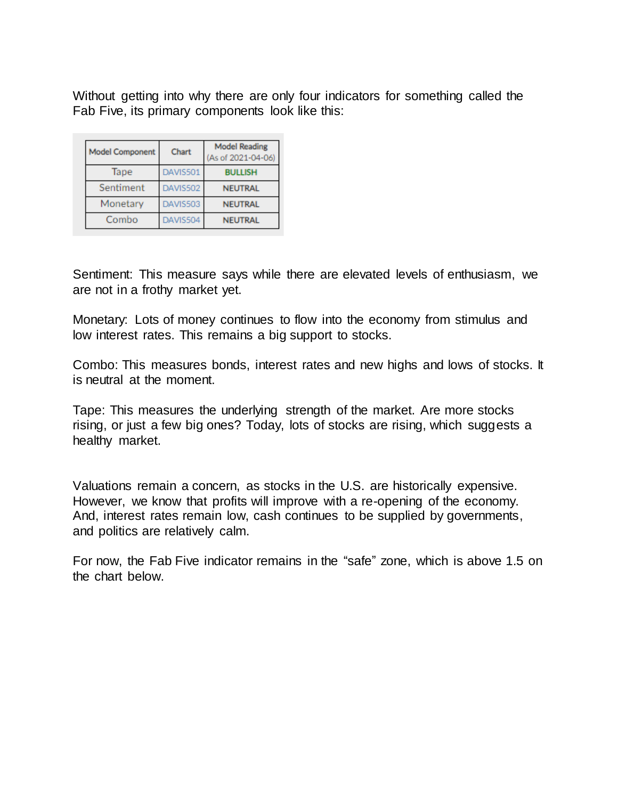Without getting into why there are only four indicators for something called the Fab Five, its primary components look like this:

| <b>Model Component</b> | Chart    | <b>Model Reading</b><br>(As of 2021-04-06) |
|------------------------|----------|--------------------------------------------|
| Tape                   | DAVIS501 | <b>BULLISH</b>                             |
| Sentiment              | DAVIS502 | <b>NEUTRAL</b>                             |
| Monetary               | DAVIS503 | <b>NEUTRAL</b>                             |
| Combo                  | DAVIS504 | <b>NEUTRAL</b>                             |

Sentiment: This measure says while there are elevated levels of enthusiasm, we are not in a frothy market yet.

Monetary: Lots of money continues to flow into the economy from stimulus and low interest rates. This remains a big support to stocks.

Combo: This measures bonds, interest rates and new highs and lows of stocks. It is neutral at the moment.

Tape: This measures the underlying strength of the market. Are more stocks rising, or just a few big ones? Today, lots of stocks are rising, which suggests a healthy market.

Valuations remain a concern, as stocks in the U.S. are historically expensive. However, we know that profits will improve with a re-opening of the economy. And, interest rates remain low, cash continues to be supplied by governments, and politics are relatively calm.

For now, the Fab Five indicator remains in the "safe" zone, which is above 1.5 on the chart below.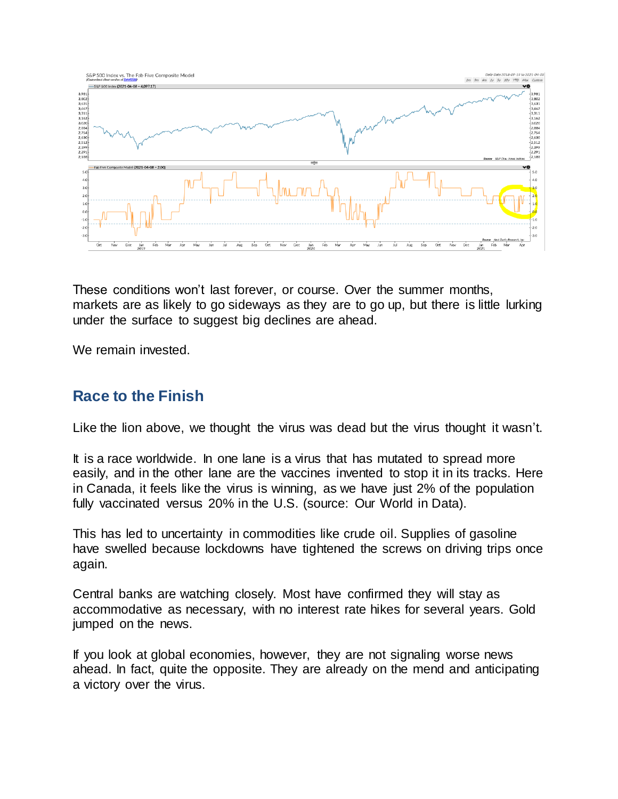

These conditions won't last forever, or course. Over the summer months, markets are as likely to go sideways as they are to go up, but there is little lurking under the surface to suggest big declines are ahead.

We remain invested.

### **Race to the Finish**

Like the lion above, we thought the virus was dead but the virus thought it wasn't.

It is a race worldwide. In one lane is a virus that has mutated to spread more easily, and in the other lane are the vaccines invented to stop it in its tracks. Here in Canada, it feels like the virus is winning, as we have just 2% of the population fully vaccinated versus 20% in the U.S. (source: Our World in Data).

This has led to uncertainty in commodities like crude oil. Supplies of gasoline have swelled because lockdowns have tightened the screws on driving trips once again.

Central banks are watching closely. Most have confirmed they will stay as accommodative as necessary, with no interest rate hikes for several years. Gold jumped on the news.

If you look at global economies, however, they are not signaling worse news ahead. In fact, quite the opposite. They are already on the mend and anticipating a victory over the virus.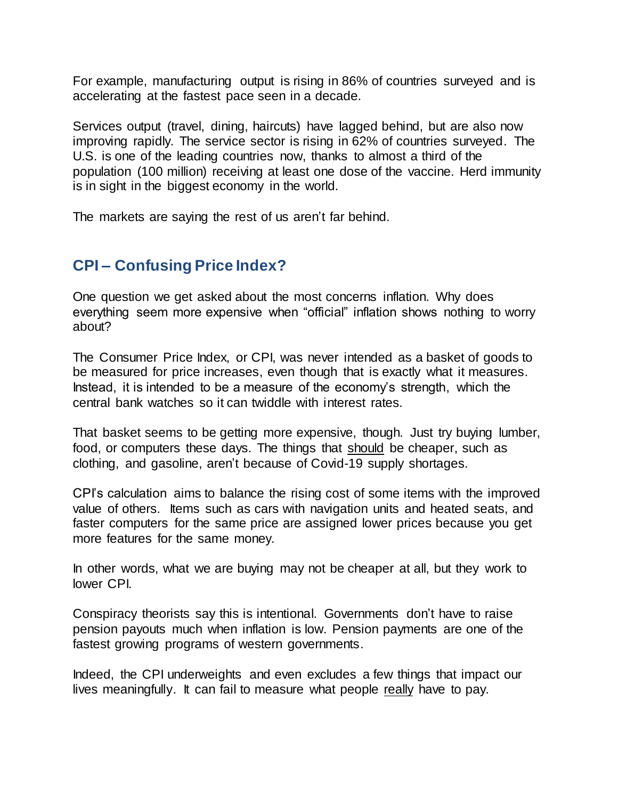For example, manufacturing output is rising in 86% of countries surveyed and is accelerating at the fastest pace seen in a decade.

Services output (travel, dining, haircuts) have lagged behind, but are also now improving rapidly. The service sector is rising in 62% of countries surveyed. The U.S. is one of the leading countries now, thanks to almost a third of the population (100 million) receiving at least one dose of the vaccine. Herd immunity is in sight in the biggest economy in the world.

The markets are saying the rest of us aren't far behind.

## **CPI – Confusing Price Index?**

One question we get asked about the most concerns inflation. Why does everything seem more expensive when "official" inflation shows nothing to worry about?

The Consumer Price Index, or CPI, was never intended as a basket of goods to be measured for price increases, even though that is exactly what it measures. Instead, it is intended to be a measure of the economy's strength, which the central bank watches so it can twiddle with interest rates.

That basket seems to be getting more expensive, though. Just try buying lumber, food, or computers these days. The things that should be cheaper, such as clothing, and gasoline, aren't because of Covid-19 supply shortages.

CPI's calculation aims to balance the rising cost of some items with the improved value of others. Items such as cars with navigation units and heated seats, and faster computers for the same price are assigned lower prices because you get more features for the same money.

In other words, what we are buying may not be cheaper at all, but they work to lower CPI.

Conspiracy theorists say this is intentional. Governments don't have to raise pension payouts much when inflation is low. Pension payments are one of the fastest growing programs of western governments.

Indeed, the CPI underweights and even excludes a few things that impact our lives meaningfully. It can fail to measure what people really have to pay.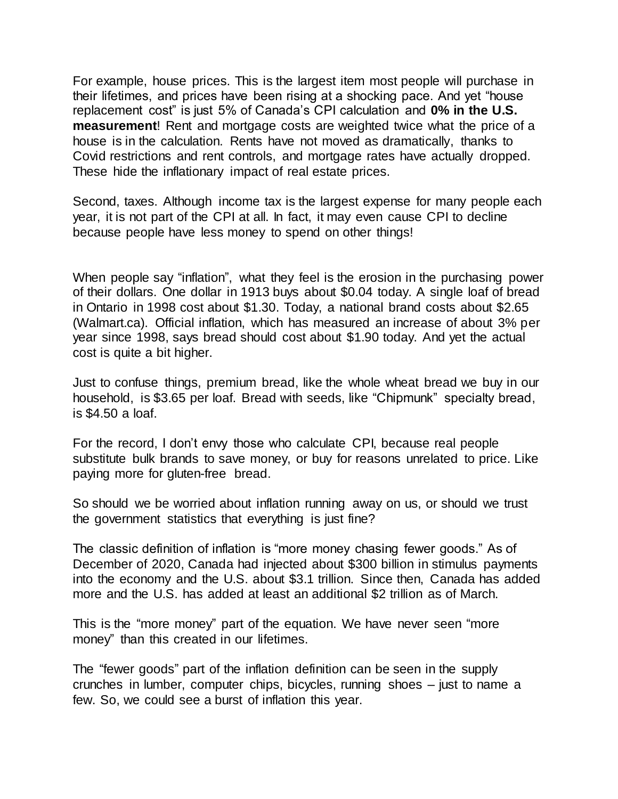For example, house prices. This is the largest item most people will purchase in their lifetimes, and prices have been rising at a shocking pace. And yet "house replacement cost" is just 5% of Canada's CPI calculation and **0% in the U.S. measurement**! Rent and mortgage costs are weighted twice what the price of a house is in the calculation. Rents have not moved as dramatically, thanks to Covid restrictions and rent controls, and mortgage rates have actually dropped. These hide the inflationary impact of real estate prices.

Second, taxes. Although income tax is the largest expense for many people each year, it is not part of the CPI at all. In fact, it may even cause CPI to decline because people have less money to spend on other things!

When people say "inflation", what they feel is the erosion in the purchasing power of their dollars. One dollar in 1913 buys about \$0.04 today. A single loaf of bread in Ontario in 1998 cost about \$1.30. Today, a national brand costs about \$2.65 (Walmart.ca). Official inflation, which has measured an increase of about 3% per year since 1998, says bread should cost about \$1.90 today. And yet the actual cost is quite a bit higher.

Just to confuse things, premium bread, like the whole wheat bread we buy in our household, is \$3.65 per loaf. Bread with seeds, like "Chipmunk" specialty bread, is \$4.50 a loaf.

For the record, I don't envy those who calculate CPI, because real people substitute bulk brands to save money, or buy for reasons unrelated to price. Like paying more for gluten-free bread.

So should we be worried about inflation running away on us, or should we trust the government statistics that everything is just fine?

The classic definition of inflation is "more money chasing fewer goods." As of December of 2020, Canada had injected about \$300 billion in stimulus payments into the economy and the U.S. about \$3.1 trillion. Since then, Canada has added more and the U.S. has added at least an additional \$2 trillion as of March.

This is the "more money" part of the equation. We have never seen "more money" than this created in our lifetimes.

The "fewer goods" part of the inflation definition can be seen in the supply crunches in lumber, computer chips, bicycles, running shoes – just to name a few. So, we could see a burst of inflation this year.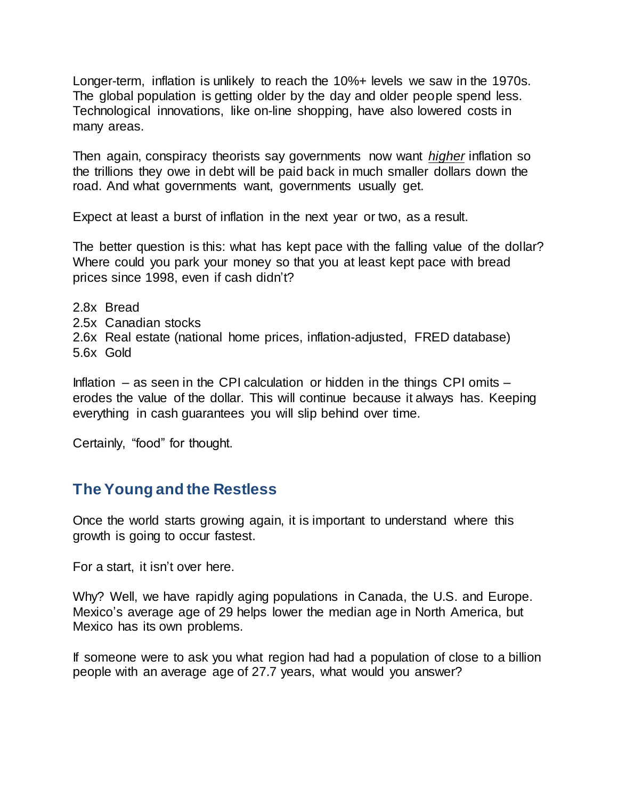Longer-term, inflation is unlikely to reach the 10%+ levels we saw in the 1970s. The global population is getting older by the day and older people spend less. Technological innovations, like on-line shopping, have also lowered costs in many areas.

Then again, conspiracy theorists say governments now want *higher* inflation so the trillions they owe in debt will be paid back in much smaller dollars down the road. And what governments want, governments usually get.

Expect at least a burst of inflation in the next year or two, as a result.

The better question is this: what has kept pace with the falling value of the dollar? Where could you park your money so that you at least kept pace with bread prices since 1998, even if cash didn't?

- 2.8x Bread
- 2.5x Canadian stocks
- 2.6x Real estate (national home prices, inflation-adjusted, FRED database)
- 5.6x Gold

Inflation – as seen in the CPI calculation or hidden in the things CPI omits – erodes the value of the dollar. This will continue because it always has. Keeping everything in cash guarantees you will slip behind over time.

Certainly, "food" for thought.

### **The Young and the Restless**

Once the world starts growing again, it is important to understand where this growth is going to occur fastest.

For a start, it isn't over here.

Why? Well, we have rapidly aging populations in Canada, the U.S. and Europe. Mexico's average age of 29 helps lower the median age in North America, but Mexico has its own problems.

If someone were to ask you what region had had a population of close to a billion people with an average age of 27.7 years, what would you answer?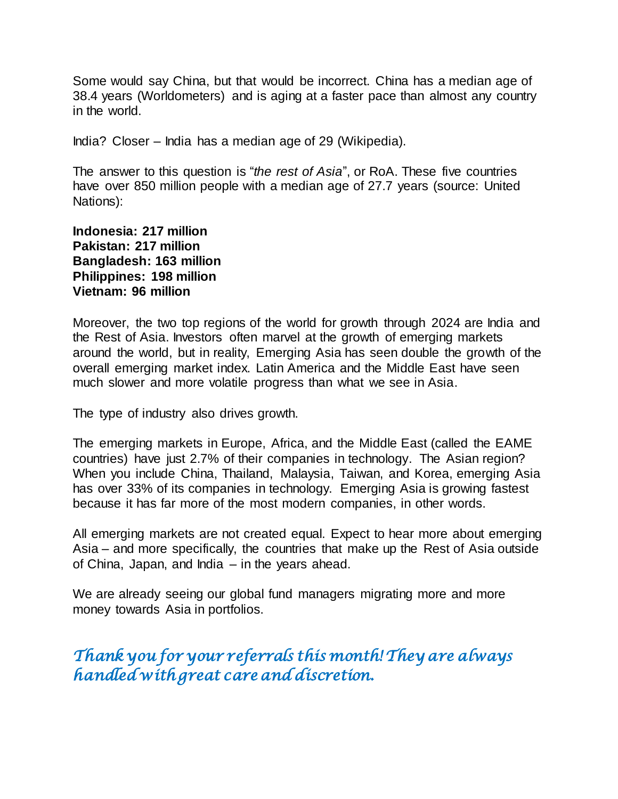Some would say China, but that would be incorrect. China has a median age of 38.4 years (Worldometers) and is aging at a faster pace than almost any country in the world.

India? Closer – India has a median age of 29 (Wikipedia).

The answer to this question is "*the rest of Asia*", or RoA. These five countries have over 850 million people with a median age of 27.7 years (source: United Nations):

**Indonesia: 217 million Pakistan: 217 million Bangladesh: 163 million Philippines: 198 million Vietnam: 96 million**

Moreover, the two top regions of the world for growth through 2024 are India and the Rest of Asia. Investors often marvel at the growth of emerging markets around the world, but in reality, Emerging Asia has seen double the growth of the overall emerging market index. Latin America and the Middle East have seen much slower and more volatile progress than what we see in Asia.

The type of industry also drives growth.

The emerging markets in Europe, Africa, and the Middle East (called the EAME countries) have just 2.7% of their companies in technology. The Asian region? When you include China, Thailand, Malaysia, Taiwan, and Korea, emerging Asia has over 33% of its companies in technology. Emerging Asia is growing fastest because it has far more of the most modern companies, in other words.

All emerging markets are not created equal. Expect to hear more about emerging Asia – and more specifically, the countries that make up the Rest of Asia outside of China, Japan, and India – in the years ahead.

We are already seeing our global fund managers migrating more and more money towards Asia in portfolios.

*Thank you for your referrals this month! They are always handled with great care and discretion.*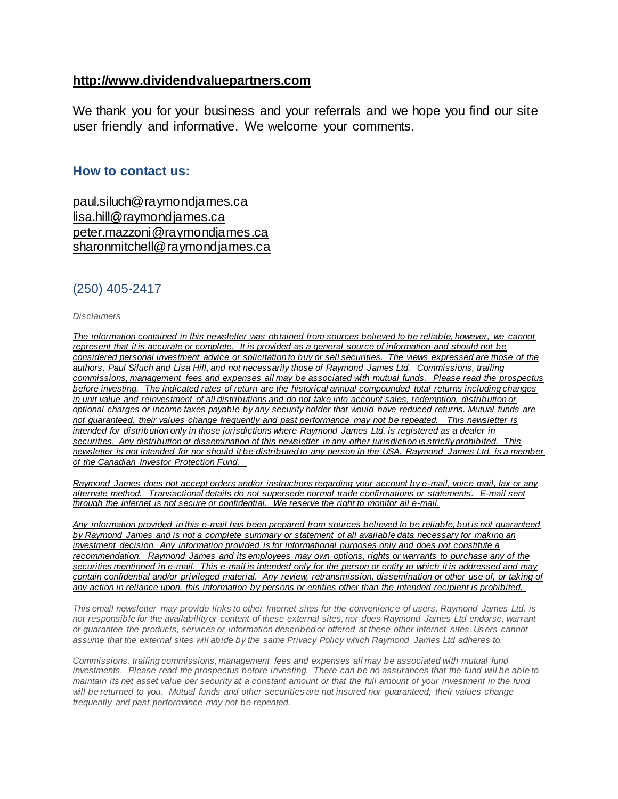#### **[http://www.dividendvaluepartners.com](https://eur04.safelinks.protection.outlook.com/?url=https%3A%2F%2Furldefense.proofpoint.com%2Fv2%2Furl%3Fu%3Dhttps-3A__nam11.safelinks.protection.outlook.com_-3Furl-3Dhttps-253A-252F-252Furldefense.proofpoint.com-252Fv2-252Furl-253Fu-253Dhttp-2D3A-5F-5Fwww.dividendvaluepartners.com-2526d-253DDwMFAw-2526c-253DK3dQCUGiI1B95NJ6cl3GoyhMW2dvBOfimZA-2D83UXll0-2526r-253D-5F6MBBSGYsFznIBwslhTiqBKEz4pHUCTd-5F9tbh-5FEpUMY-2526m-253DscBAtuMDuWZwK1IVr5YXjdB6aRS-2DfaGHAMq3jOn6sJU-2526s-253DenZqe4ZgcjH-5F33x5dT-2DvZq9A37d4AhNkXvjc6AbmYww-2526e-253D-26data-3D02-257C01-257C-257Cc172461ecbee4482512908d85e8192cf-257C84df9e7fe9f640afb435aaaaaaaaaaaa-257C1-257C0-257C637363258183615686-26sdata-3DewMvepveEmLgP7SL0jTlvLtATqW9IhbJ2C3UL0Em04c-253D-26reserved-3D0%26d%3DDwMF-g%26c%3DK3dQCUGiI1B95NJ6cl3GoyhMW2dvBOfimZA-83UXll0%26r%3D_6MBBSGYsFznIBwslhTiqBKEz4pHUCTd_9tbh_EpUMY%26m%3D7qOaEnVxLdGuCP74qXGTNk9xkBSFm8R3CYYmRfTv9PQ%26s%3DW8OEBAbaLee5suYwpNsPIikduscCx0SIuOWzAWRhAvc%26e%3D&data=02%7C01%7C%7C8a16eb9ab3cc4e585bab08d86b14e24b%7C84df9e7fe9f640afb435aaaaaaaaaaaa%7C1%7C0%7C637377085227534400&sdata=zzJlT4ayZo7AuSbfVFBCALNa%2FJqw6uhZi8Xlc7hQZtE%3D&reserved=0)**

We thank you for your business and your referrals and we hope you find our site user friendly and informative. We welcome your comments.

#### **How to contact us:**

[paul.siluch@raymondjames.ca](https://eur04.safelinks.protection.outlook.com/?url=https%3A%2F%2Furldefense.proofpoint.com%2Fv2%2Furl%3Fu%3Dhttps-3A__nam11.safelinks.protection.outlook.com_-3Furl-3Dhttps-253A-252F-252Fowa-2Dkel.raymondjames.ca-252Fowa-252Fredir.aspx-253FSURL-253Dz0BxOCXDlQ-2DAad1f-5Fa9igaARxm5Rd1VXE7UcmD4mZ3IZiacj7DPTCG0AYQBpAGwAdABvADoAcABhAHUAbAAuAHMAaQBsAHUAYwBoAEAAcgBhAHkAbQBvAG4AZABqAGEAbQBlAHMALgBjAGEA-2526URL-253Dmailto-25253apaul.siluch-252540raymondjames.ca-26data-3D02-257C01-257C-257Cc172461ecbee4482512908d85e8192cf-257C84df9e7fe9f640afb435aaaaaaaaaaaa-257C1-257C0-257C637363258183625679-26sdata-3DHJ7PtuamH3ey-252Bis0LQS7WLUtHpHoAnxnHrYxprmWKn4-253D-26reserved-3D0%26d%3DDwMF-g%26c%3DK3dQCUGiI1B95NJ6cl3GoyhMW2dvBOfimZA-83UXll0%26r%3D_6MBBSGYsFznIBwslhTiqBKEz4pHUCTd_9tbh_EpUMY%26m%3D7qOaEnVxLdGuCP74qXGTNk9xkBSFm8R3CYYmRfTv9PQ%26s%3DTKyIHrHn9jy3BGThbM3t6qa96Jt8NZSlnsJ21h5JIRM%26e%3D&data=02%7C01%7C%7C8a16eb9ab3cc4e585bab08d86b14e24b%7C84df9e7fe9f640afb435aaaaaaaaaaaa%7C1%7C0%7C637377085227544398&sdata=JNWyFZFoob4Jy6fPXmZiln9HSChMixeL83naEfwOpMM%3D&reserved=0) [lisa.hill@raymondjames.ca](https://eur04.safelinks.protection.outlook.com/?url=https%3A%2F%2Furldefense.proofpoint.com%2Fv2%2Furl%3Fu%3Dhttps-3A__nam11.safelinks.protection.outlook.com_-3Furl-3Dhttps-253A-252F-252Fowa-2Dkel.raymondjames.ca-252Fowa-252Fredir.aspx-253FSURL-253DglaBgdTdxPMFpiw4eumg-2DPzZXpo9vJyObrXLs1TKtIAZiacj7DPTCG0AYQBpAGwAdABvADoAbABpAHMAYQAuAGgAaQBsAGwAQAByAGEAeQBtAG8AbgBkAGoAYQBtAGUAcwAuAGMAYQA.-2526URL-253Dmailto-25253alisa.hill-252540raymondjames.ca-26data-3D02-257C01-257C-257Cc172461ecbee4482512908d85e8192cf-257C84df9e7fe9f640afb435aaaaaaaaaaaa-257C1-257C0-257C637363258183625679-26sdata-3DlqUdr0V-252Bbj4LaURrM2MSPIDvGfk5bLYx0U1BkRoTrH4-253D-26reserved-3D0%26d%3DDwMF-g%26c%3DK3dQCUGiI1B95NJ6cl3GoyhMW2dvBOfimZA-83UXll0%26r%3D_6MBBSGYsFznIBwslhTiqBKEz4pHUCTd_9tbh_EpUMY%26m%3D7qOaEnVxLdGuCP74qXGTNk9xkBSFm8R3CYYmRfTv9PQ%26s%3Dc8alCSC-b4YnoP6-1kuPw_KdDfdlIvu8oQ_wi3WtrQw%26e%3D&data=02%7C01%7C%7C8a16eb9ab3cc4e585bab08d86b14e24b%7C84df9e7fe9f640afb435aaaaaaaaaaaa%7C1%7C0%7C637377085227554394&sdata=JD%2BrCiopwCPkaqqVwSvi1mS1%2BcEvr2qDmRTjzzF4npk%3D&reserved=0) [peter.mazzoni@raymondjames.ca](https://eur04.safelinks.protection.outlook.com/?url=https%3A%2F%2Furldefense.proofpoint.com%2Fv2%2Furl%3Fu%3Dhttps-3A__nam11.safelinks.protection.outlook.com_-3Furl-3Dhttps-253A-252F-252Fowa-2Dkel.raymondjames.ca-252Fowa-252Fredir.aspx-253FSURL-253D3c7mDL9-2DcZxYXt7CvkOu20QVFy1WCaDQxUZ3BQE6vecZiacj7DPTCG0AYQBpAGwAdABvADoAcABlAHQAZQByAC4AbQBhAHoAegBvAG4AaQBAAHIAYQB5AG0AbwBuAGQAagBhAG0AZQBzAC4AYwBhAA..-2526URL-253Dmailto-25253apeter.mazzoni-252540raymondjames.ca-26data-3D02-257C01-257C-257Cc172461ecbee4482512908d85e8192cf-257C84df9e7fe9f640afb435aaaaaaaaaaaa-257C1-257C0-257C637363258183635674-26sdata-3D1suYGaoqcgH5k419ERrAlAGzpG-252BufP-252FAE-252FdOZxq8Cus-253D-26reserved-3D0%26d%3DDwMF-g%26c%3DK3dQCUGiI1B95NJ6cl3GoyhMW2dvBOfimZA-83UXll0%26r%3D_6MBBSGYsFznIBwslhTiqBKEz4pHUCTd_9tbh_EpUMY%26m%3D7qOaEnVxLdGuCP74qXGTNk9xkBSFm8R3CYYmRfTv9PQ%26s%3Dmwchq7c2WnuY-oLgiUBkMdFmrEXBtoSxe2YfSBkWXZU%26e%3D&data=02%7C01%7C%7C8a16eb9ab3cc4e585bab08d86b14e24b%7C84df9e7fe9f640afb435aaaaaaaaaaaa%7C1%7C0%7C637377085227564389&sdata=VGxXSMYaOoINFeTp9mK0bEQdNoeg7gewByIWz64OZjE%3D&reserved=0) [sharonmitchell@raymondjames.ca](mailto:sharonmitchell@raymondjames.ca)

#### (250) 405-2417

#### *Disclaimers*

*[The information contained in this newsletter was obtained from sources believed to be reliable, however, we cannot](https://eur04.safelinks.protection.outlook.com/?url=https%3A%2F%2Furldefense.proofpoint.com%2Fv2%2Furl%3Fu%3Dhttps-3A__nam11.safelinks.protection.outlook.com_-3Furl-3Dhttps-253A-252F-252Fowa-2Dkel.raymondjames.ca-252Fowa-252Fredir.aspx-253FSURL-253Dz0BxOCXDlQ-2DAad1f-5Fa9igaARxm5Rd1VXE7UcmD4mZ3IZiacj7DPTCG0AYQBpAGwAdABvADoAcABhAHUAbAAuAHMAaQBsAHUAYwBoAEAAcgBhAHkAbQBvAG4AZABqAGEAbQBlAHMALgBjAGEA-2526URL-253Dmailto-25253apaul.siluch-252540raymondjames.ca-26data-3D02-257C01-257C-257Cc172461ecbee4482512908d85e8192cf-257C84df9e7fe9f640afb435aaaaaaaaaaaa-257C1-257C0-257C637363258183635674-26sdata-3DYxnEd1j-252BPKZ7O-252BaYYWd4rEqnA-252FsZJqXh5i43hxevA-252Bk-253D-26reserved-3D0%26d%3DDwMF-g%26c%3DK3dQCUGiI1B95NJ6cl3GoyhMW2dvBOfimZA-83UXll0%26r%3D_6MBBSGYsFznIBwslhTiqBKEz4pHUCTd_9tbh_EpUMY%26m%3D7qOaEnVxLdGuCP74qXGTNk9xkBSFm8R3CYYmRfTv9PQ%26s%3DnStAVPWry0CYI3VlF6rPrM0m6uEmVBMWcLnjvw4FcOQ%26e%3D&data=02%7C01%7C%7C8a16eb9ab3cc4e585bab08d86b14e24b%7C84df9e7fe9f640afb435aaaaaaaaaaaa%7C1%7C0%7C637377085227564389&sdata=%2FLT3okCUEtYywPn6lfOt69zF22qRd1eEUeVCI%2FhVHyE%3D&reserved=0)  represent that it is accurate or complete. [It is provided as a general source of information and should not be](https://eur04.safelinks.protection.outlook.com/?url=https%3A%2F%2Furldefense.proofpoint.com%2Fv2%2Furl%3Fu%3Dhttps-3A__nam11.safelinks.protection.outlook.com_-3Furl-3Dhttps-253A-252F-252Fowa-2Dkel.raymondjames.ca-252Fowa-252Fredir.aspx-253FSURL-253Dz0BxOCXDlQ-2DAad1f-5Fa9igaARxm5Rd1VXE7UcmD4mZ3IZiacj7DPTCG0AYQBpAGwAdABvADoAcABhAHUAbAAuAHMAaQBsAHUAYwBoAEAAcgBhAHkAbQBvAG4AZABqAGEAbQBlAHMALgBjAGEA-2526URL-253Dmailto-25253apaul.siluch-252540raymondjames.ca-26data-3D02-257C01-257C-257Cc172461ecbee4482512908d85e8192cf-257C84df9e7fe9f640afb435aaaaaaaaaaaa-257C1-257C0-257C637363258183635674-26sdata-3DYxnEd1j-252BPKZ7O-252BaYYWd4rEqnA-252FsZJqXh5i43hxevA-252Bk-253D-26reserved-3D0%26d%3DDwMF-g%26c%3DK3dQCUGiI1B95NJ6cl3GoyhMW2dvBOfimZA-83UXll0%26r%3D_6MBBSGYsFznIBwslhTiqBKEz4pHUCTd_9tbh_EpUMY%26m%3D7qOaEnVxLdGuCP74qXGTNk9xkBSFm8R3CYYmRfTv9PQ%26s%3DnStAVPWry0CYI3VlF6rPrM0m6uEmVBMWcLnjvw4FcOQ%26e%3D&data=02%7C01%7C%7C8a16eb9ab3cc4e585bab08d86b14e24b%7C84df9e7fe9f640afb435aaaaaaaaaaaa%7C1%7C0%7C637377085227564389&sdata=%2FLT3okCUEtYywPn6lfOt69zF22qRd1eEUeVCI%2FhVHyE%3D&reserved=0)  [considered personal investment advice or solicitation to buy or sell securities.](https://eur04.safelinks.protection.outlook.com/?url=https%3A%2F%2Furldefense.proofpoint.com%2Fv2%2Furl%3Fu%3Dhttps-3A__nam11.safelinks.protection.outlook.com_-3Furl-3Dhttps-253A-252F-252Fowa-2Dkel.raymondjames.ca-252Fowa-252Fredir.aspx-253FSURL-253Dz0BxOCXDlQ-2DAad1f-5Fa9igaARxm5Rd1VXE7UcmD4mZ3IZiacj7DPTCG0AYQBpAGwAdABvADoAcABhAHUAbAAuAHMAaQBsAHUAYwBoAEAAcgBhAHkAbQBvAG4AZABqAGEAbQBlAHMALgBjAGEA-2526URL-253Dmailto-25253apaul.siluch-252540raymondjames.ca-26data-3D02-257C01-257C-257Cc172461ecbee4482512908d85e8192cf-257C84df9e7fe9f640afb435aaaaaaaaaaaa-257C1-257C0-257C637363258183635674-26sdata-3DYxnEd1j-252BPKZ7O-252BaYYWd4rEqnA-252FsZJqXh5i43hxevA-252Bk-253D-26reserved-3D0%26d%3DDwMF-g%26c%3DK3dQCUGiI1B95NJ6cl3GoyhMW2dvBOfimZA-83UXll0%26r%3D_6MBBSGYsFznIBwslhTiqBKEz4pHUCTd_9tbh_EpUMY%26m%3D7qOaEnVxLdGuCP74qXGTNk9xkBSFm8R3CYYmRfTv9PQ%26s%3DnStAVPWry0CYI3VlF6rPrM0m6uEmVBMWcLnjvw4FcOQ%26e%3D&data=02%7C01%7C%7C8a16eb9ab3cc4e585bab08d86b14e24b%7C84df9e7fe9f640afb435aaaaaaaaaaaa%7C1%7C0%7C637377085227564389&sdata=%2FLT3okCUEtYywPn6lfOt69zF22qRd1eEUeVCI%2FhVHyE%3D&reserved=0) The views expressed are those of the [authors, Paul Siluch and Lisa Hill, and not necessarily those of Raymond James Ltd.](https://eur04.safelinks.protection.outlook.com/?url=https%3A%2F%2Furldefense.proofpoint.com%2Fv2%2Furl%3Fu%3Dhttps-3A__nam11.safelinks.protection.outlook.com_-3Furl-3Dhttps-253A-252F-252Fowa-2Dkel.raymondjames.ca-252Fowa-252Fredir.aspx-253FSURL-253Dz0BxOCXDlQ-2DAad1f-5Fa9igaARxm5Rd1VXE7UcmD4mZ3IZiacj7DPTCG0AYQBpAGwAdABvADoAcABhAHUAbAAuAHMAaQBsAHUAYwBoAEAAcgBhAHkAbQBvAG4AZABqAGEAbQBlAHMALgBjAGEA-2526URL-253Dmailto-25253apaul.siluch-252540raymondjames.ca-26data-3D02-257C01-257C-257Cc172461ecbee4482512908d85e8192cf-257C84df9e7fe9f640afb435aaaaaaaaaaaa-257C1-257C0-257C637363258183635674-26sdata-3DYxnEd1j-252BPKZ7O-252BaYYWd4rEqnA-252FsZJqXh5i43hxevA-252Bk-253D-26reserved-3D0%26d%3DDwMF-g%26c%3DK3dQCUGiI1B95NJ6cl3GoyhMW2dvBOfimZA-83UXll0%26r%3D_6MBBSGYsFznIBwslhTiqBKEz4pHUCTd_9tbh_EpUMY%26m%3D7qOaEnVxLdGuCP74qXGTNk9xkBSFm8R3CYYmRfTv9PQ%26s%3DnStAVPWry0CYI3VlF6rPrM0m6uEmVBMWcLnjvw4FcOQ%26e%3D&data=02%7C01%7C%7C8a16eb9ab3cc4e585bab08d86b14e24b%7C84df9e7fe9f640afb435aaaaaaaaaaaa%7C1%7C0%7C637377085227564389&sdata=%2FLT3okCUEtYywPn6lfOt69zF22qRd1eEUeVCI%2FhVHyE%3D&reserved=0) Commissions, trailing [commissions, management fees and expenses all may be associated with mutual funds.](https://eur04.safelinks.protection.outlook.com/?url=https%3A%2F%2Furldefense.proofpoint.com%2Fv2%2Furl%3Fu%3Dhttps-3A__nam11.safelinks.protection.outlook.com_-3Furl-3Dhttps-253A-252F-252Fowa-2Dkel.raymondjames.ca-252Fowa-252Fredir.aspx-253FSURL-253Dz0BxOCXDlQ-2DAad1f-5Fa9igaARxm5Rd1VXE7UcmD4mZ3IZiacj7DPTCG0AYQBpAGwAdABvADoAcABhAHUAbAAuAHMAaQBsAHUAYwBoAEAAcgBhAHkAbQBvAG4AZABqAGEAbQBlAHMALgBjAGEA-2526URL-253Dmailto-25253apaul.siluch-252540raymondjames.ca-26data-3D02-257C01-257C-257Cc172461ecbee4482512908d85e8192cf-257C84df9e7fe9f640afb435aaaaaaaaaaaa-257C1-257C0-257C637363258183635674-26sdata-3DYxnEd1j-252BPKZ7O-252BaYYWd4rEqnA-252FsZJqXh5i43hxevA-252Bk-253D-26reserved-3D0%26d%3DDwMF-g%26c%3DK3dQCUGiI1B95NJ6cl3GoyhMW2dvBOfimZA-83UXll0%26r%3D_6MBBSGYsFznIBwslhTiqBKEz4pHUCTd_9tbh_EpUMY%26m%3D7qOaEnVxLdGuCP74qXGTNk9xkBSFm8R3CYYmRfTv9PQ%26s%3DnStAVPWry0CYI3VlF6rPrM0m6uEmVBMWcLnjvw4FcOQ%26e%3D&data=02%7C01%7C%7C8a16eb9ab3cc4e585bab08d86b14e24b%7C84df9e7fe9f640afb435aaaaaaaaaaaa%7C1%7C0%7C637377085227564389&sdata=%2FLT3okCUEtYywPn6lfOt69zF22qRd1eEUeVCI%2FhVHyE%3D&reserved=0) Please read the prospectus before investing. [The indicated rates of return are the historical annual compounded total returns including changes](https://eur04.safelinks.protection.outlook.com/?url=https%3A%2F%2Furldefense.proofpoint.com%2Fv2%2Furl%3Fu%3Dhttps-3A__nam11.safelinks.protection.outlook.com_-3Furl-3Dhttps-253A-252F-252Fowa-2Dkel.raymondjames.ca-252Fowa-252Fredir.aspx-253FSURL-253Dz0BxOCXDlQ-2DAad1f-5Fa9igaARxm5Rd1VXE7UcmD4mZ3IZiacj7DPTCG0AYQBpAGwAdABvADoAcABhAHUAbAAuAHMAaQBsAHUAYwBoAEAAcgBhAHkAbQBvAG4AZABqAGEAbQBlAHMALgBjAGEA-2526URL-253Dmailto-25253apaul.siluch-252540raymondjames.ca-26data-3D02-257C01-257C-257Cc172461ecbee4482512908d85e8192cf-257C84df9e7fe9f640afb435aaaaaaaaaaaa-257C1-257C0-257C637363258183635674-26sdata-3DYxnEd1j-252BPKZ7O-252BaYYWd4rEqnA-252FsZJqXh5i43hxevA-252Bk-253D-26reserved-3D0%26d%3DDwMF-g%26c%3DK3dQCUGiI1B95NJ6cl3GoyhMW2dvBOfimZA-83UXll0%26r%3D_6MBBSGYsFznIBwslhTiqBKEz4pHUCTd_9tbh_EpUMY%26m%3D7qOaEnVxLdGuCP74qXGTNk9xkBSFm8R3CYYmRfTv9PQ%26s%3DnStAVPWry0CYI3VlF6rPrM0m6uEmVBMWcLnjvw4FcOQ%26e%3D&data=02%7C01%7C%7C8a16eb9ab3cc4e585bab08d86b14e24b%7C84df9e7fe9f640afb435aaaaaaaaaaaa%7C1%7C0%7C637377085227564389&sdata=%2FLT3okCUEtYywPn6lfOt69zF22qRd1eEUeVCI%2FhVHyE%3D&reserved=0)  in unit value [and reinvestment of all distributions and do not take into account sales, redemption, distribution or](https://eur04.safelinks.protection.outlook.com/?url=https%3A%2F%2Furldefense.proofpoint.com%2Fv2%2Furl%3Fu%3Dhttps-3A__nam11.safelinks.protection.outlook.com_-3Furl-3Dhttps-253A-252F-252Fowa-2Dkel.raymondjames.ca-252Fowa-252Fredir.aspx-253FSURL-253Dz0BxOCXDlQ-2DAad1f-5Fa9igaARxm5Rd1VXE7UcmD4mZ3IZiacj7DPTCG0AYQBpAGwAdABvADoAcABhAHUAbAAuAHMAaQBsAHUAYwBoAEAAcgBhAHkAbQBvAG4AZABqAGEAbQBlAHMALgBjAGEA-2526URL-253Dmailto-25253apaul.siluch-252540raymondjames.ca-26data-3D02-257C01-257C-257Cc172461ecbee4482512908d85e8192cf-257C84df9e7fe9f640afb435aaaaaaaaaaaa-257C1-257C0-257C637363258183635674-26sdata-3DYxnEd1j-252BPKZ7O-252BaYYWd4rEqnA-252FsZJqXh5i43hxevA-252Bk-253D-26reserved-3D0%26d%3DDwMF-g%26c%3DK3dQCUGiI1B95NJ6cl3GoyhMW2dvBOfimZA-83UXll0%26r%3D_6MBBSGYsFznIBwslhTiqBKEz4pHUCTd_9tbh_EpUMY%26m%3D7qOaEnVxLdGuCP74qXGTNk9xkBSFm8R3CYYmRfTv9PQ%26s%3DnStAVPWry0CYI3VlF6rPrM0m6uEmVBMWcLnjvw4FcOQ%26e%3D&data=02%7C01%7C%7C8a16eb9ab3cc4e585bab08d86b14e24b%7C84df9e7fe9f640afb435aaaaaaaaaaaa%7C1%7C0%7C637377085227564389&sdata=%2FLT3okCUEtYywPn6lfOt69zF22qRd1eEUeVCI%2FhVHyE%3D&reserved=0)  [optional charges or income taxes payable by any security holder that would have reduced returns. Mutual funds are](https://eur04.safelinks.protection.outlook.com/?url=https%3A%2F%2Furldefense.proofpoint.com%2Fv2%2Furl%3Fu%3Dhttps-3A__nam11.safelinks.protection.outlook.com_-3Furl-3Dhttps-253A-252F-252Fowa-2Dkel.raymondjames.ca-252Fowa-252Fredir.aspx-253FSURL-253Dz0BxOCXDlQ-2DAad1f-5Fa9igaARxm5Rd1VXE7UcmD4mZ3IZiacj7DPTCG0AYQBpAGwAdABvADoAcABhAHUAbAAuAHMAaQBsAHUAYwBoAEAAcgBhAHkAbQBvAG4AZABqAGEAbQBlAHMALgBjAGEA-2526URL-253Dmailto-25253apaul.siluch-252540raymondjames.ca-26data-3D02-257C01-257C-257Cc172461ecbee4482512908d85e8192cf-257C84df9e7fe9f640afb435aaaaaaaaaaaa-257C1-257C0-257C637363258183635674-26sdata-3DYxnEd1j-252BPKZ7O-252BaYYWd4rEqnA-252FsZJqXh5i43hxevA-252Bk-253D-26reserved-3D0%26d%3DDwMF-g%26c%3DK3dQCUGiI1B95NJ6cl3GoyhMW2dvBOfimZA-83UXll0%26r%3D_6MBBSGYsFznIBwslhTiqBKEz4pHUCTd_9tbh_EpUMY%26m%3D7qOaEnVxLdGuCP74qXGTNk9xkBSFm8R3CYYmRfTv9PQ%26s%3DnStAVPWry0CYI3VlF6rPrM0m6uEmVBMWcLnjvw4FcOQ%26e%3D&data=02%7C01%7C%7C8a16eb9ab3cc4e585bab08d86b14e24b%7C84df9e7fe9f640afb435aaaaaaaaaaaa%7C1%7C0%7C637377085227564389&sdata=%2FLT3okCUEtYywPn6lfOt69zF22qRd1eEUeVCI%2FhVHyE%3D&reserved=0)  [not guaranteed, their values change frequently and past performance may not be repeated.](https://eur04.safelinks.protection.outlook.com/?url=https%3A%2F%2Furldefense.proofpoint.com%2Fv2%2Furl%3Fu%3Dhttps-3A__nam11.safelinks.protection.outlook.com_-3Furl-3Dhttps-253A-252F-252Fowa-2Dkel.raymondjames.ca-252Fowa-252Fredir.aspx-253FSURL-253Dz0BxOCXDlQ-2DAad1f-5Fa9igaARxm5Rd1VXE7UcmD4mZ3IZiacj7DPTCG0AYQBpAGwAdABvADoAcABhAHUAbAAuAHMAaQBsAHUAYwBoAEAAcgBhAHkAbQBvAG4AZABqAGEAbQBlAHMALgBjAGEA-2526URL-253Dmailto-25253apaul.siluch-252540raymondjames.ca-26data-3D02-257C01-257C-257Cc172461ecbee4482512908d85e8192cf-257C84df9e7fe9f640afb435aaaaaaaaaaaa-257C1-257C0-257C637363258183635674-26sdata-3DYxnEd1j-252BPKZ7O-252BaYYWd4rEqnA-252FsZJqXh5i43hxevA-252Bk-253D-26reserved-3D0%26d%3DDwMF-g%26c%3DK3dQCUGiI1B95NJ6cl3GoyhMW2dvBOfimZA-83UXll0%26r%3D_6MBBSGYsFznIBwslhTiqBKEz4pHUCTd_9tbh_EpUMY%26m%3D7qOaEnVxLdGuCP74qXGTNk9xkBSFm8R3CYYmRfTv9PQ%26s%3DnStAVPWry0CYI3VlF6rPrM0m6uEmVBMWcLnjvw4FcOQ%26e%3D&data=02%7C01%7C%7C8a16eb9ab3cc4e585bab08d86b14e24b%7C84df9e7fe9f640afb435aaaaaaaaaaaa%7C1%7C0%7C637377085227564389&sdata=%2FLT3okCUEtYywPn6lfOt69zF22qRd1eEUeVCI%2FhVHyE%3D&reserved=0) This newsletter is [intended for distribution only in those jurisdictions where Raymond James Ltd. is registered as a dealer in](https://eur04.safelinks.protection.outlook.com/?url=https%3A%2F%2Furldefense.proofpoint.com%2Fv2%2Furl%3Fu%3Dhttps-3A__nam11.safelinks.protection.outlook.com_-3Furl-3Dhttps-253A-252F-252Fowa-2Dkel.raymondjames.ca-252Fowa-252Fredir.aspx-253FSURL-253Dz0BxOCXDlQ-2DAad1f-5Fa9igaARxm5Rd1VXE7UcmD4mZ3IZiacj7DPTCG0AYQBpAGwAdABvADoAcABhAHUAbAAuAHMAaQBsAHUAYwBoAEAAcgBhAHkAbQBvAG4AZABqAGEAbQBlAHMALgBjAGEA-2526URL-253Dmailto-25253apaul.siluch-252540raymondjames.ca-26data-3D02-257C01-257C-257Cc172461ecbee4482512908d85e8192cf-257C84df9e7fe9f640afb435aaaaaaaaaaaa-257C1-257C0-257C637363258183635674-26sdata-3DYxnEd1j-252BPKZ7O-252BaYYWd4rEqnA-252FsZJqXh5i43hxevA-252Bk-253D-26reserved-3D0%26d%3DDwMF-g%26c%3DK3dQCUGiI1B95NJ6cl3GoyhMW2dvBOfimZA-83UXll0%26r%3D_6MBBSGYsFznIBwslhTiqBKEz4pHUCTd_9tbh_EpUMY%26m%3D7qOaEnVxLdGuCP74qXGTNk9xkBSFm8R3CYYmRfTv9PQ%26s%3DnStAVPWry0CYI3VlF6rPrM0m6uEmVBMWcLnjvw4FcOQ%26e%3D&data=02%7C01%7C%7C8a16eb9ab3cc4e585bab08d86b14e24b%7C84df9e7fe9f640afb435aaaaaaaaaaaa%7C1%7C0%7C637377085227564389&sdata=%2FLT3okCUEtYywPn6lfOt69zF22qRd1eEUeVCI%2FhVHyE%3D&reserved=0)  securities. [Any distribution or dissemination of this newsletter in any other jurisdiction is strictly prohibited.](https://eur04.safelinks.protection.outlook.com/?url=https%3A%2F%2Furldefense.proofpoint.com%2Fv2%2Furl%3Fu%3Dhttps-3A__nam11.safelinks.protection.outlook.com_-3Furl-3Dhttps-253A-252F-252Fowa-2Dkel.raymondjames.ca-252Fowa-252Fredir.aspx-253FSURL-253Dz0BxOCXDlQ-2DAad1f-5Fa9igaARxm5Rd1VXE7UcmD4mZ3IZiacj7DPTCG0AYQBpAGwAdABvADoAcABhAHUAbAAuAHMAaQBsAHUAYwBoAEAAcgBhAHkAbQBvAG4AZABqAGEAbQBlAHMALgBjAGEA-2526URL-253Dmailto-25253apaul.siluch-252540raymondjames.ca-26data-3D02-257C01-257C-257Cc172461ecbee4482512908d85e8192cf-257C84df9e7fe9f640afb435aaaaaaaaaaaa-257C1-257C0-257C637363258183635674-26sdata-3DYxnEd1j-252BPKZ7O-252BaYYWd4rEqnA-252FsZJqXh5i43hxevA-252Bk-253D-26reserved-3D0%26d%3DDwMF-g%26c%3DK3dQCUGiI1B95NJ6cl3GoyhMW2dvBOfimZA-83UXll0%26r%3D_6MBBSGYsFznIBwslhTiqBKEz4pHUCTd_9tbh_EpUMY%26m%3D7qOaEnVxLdGuCP74qXGTNk9xkBSFm8R3CYYmRfTv9PQ%26s%3DnStAVPWry0CYI3VlF6rPrM0m6uEmVBMWcLnjvw4FcOQ%26e%3D&data=02%7C01%7C%7C8a16eb9ab3cc4e585bab08d86b14e24b%7C84df9e7fe9f640afb435aaaaaaaaaaaa%7C1%7C0%7C637377085227564389&sdata=%2FLT3okCUEtYywPn6lfOt69zF22qRd1eEUeVCI%2FhVHyE%3D&reserved=0) This [newsletter is not intended for nor should it be distributed to any person in the USA. Raymond James Ltd. is a member](https://eur04.safelinks.protection.outlook.com/?url=https%3A%2F%2Furldefense.proofpoint.com%2Fv2%2Furl%3Fu%3Dhttps-3A__nam11.safelinks.protection.outlook.com_-3Furl-3Dhttps-253A-252F-252Fowa-2Dkel.raymondjames.ca-252Fowa-252Fredir.aspx-253FSURL-253Dz0BxOCXDlQ-2DAad1f-5Fa9igaARxm5Rd1VXE7UcmD4mZ3IZiacj7DPTCG0AYQBpAGwAdABvADoAcABhAHUAbAAuAHMAaQBsAHUAYwBoAEAAcgBhAHkAbQBvAG4AZABqAGEAbQBlAHMALgBjAGEA-2526URL-253Dmailto-25253apaul.siluch-252540raymondjames.ca-26data-3D02-257C01-257C-257Cc172461ecbee4482512908d85e8192cf-257C84df9e7fe9f640afb435aaaaaaaaaaaa-257C1-257C0-257C637363258183635674-26sdata-3DYxnEd1j-252BPKZ7O-252BaYYWd4rEqnA-252FsZJqXh5i43hxevA-252Bk-253D-26reserved-3D0%26d%3DDwMF-g%26c%3DK3dQCUGiI1B95NJ6cl3GoyhMW2dvBOfimZA-83UXll0%26r%3D_6MBBSGYsFznIBwslhTiqBKEz4pHUCTd_9tbh_EpUMY%26m%3D7qOaEnVxLdGuCP74qXGTNk9xkBSFm8R3CYYmRfTv9PQ%26s%3DnStAVPWry0CYI3VlF6rPrM0m6uEmVBMWcLnjvw4FcOQ%26e%3D&data=02%7C01%7C%7C8a16eb9ab3cc4e585bab08d86b14e24b%7C84df9e7fe9f640afb435aaaaaaaaaaaa%7C1%7C0%7C637377085227564389&sdata=%2FLT3okCUEtYywPn6lfOt69zF22qRd1eEUeVCI%2FhVHyE%3D&reserved=0)  [of the Canadian Investor Protection Fund.](https://eur04.safelinks.protection.outlook.com/?url=https%3A%2F%2Furldefense.proofpoint.com%2Fv2%2Furl%3Fu%3Dhttps-3A__nam11.safelinks.protection.outlook.com_-3Furl-3Dhttps-253A-252F-252Fowa-2Dkel.raymondjames.ca-252Fowa-252Fredir.aspx-253FSURL-253Dz0BxOCXDlQ-2DAad1f-5Fa9igaARxm5Rd1VXE7UcmD4mZ3IZiacj7DPTCG0AYQBpAGwAdABvADoAcABhAHUAbAAuAHMAaQBsAHUAYwBoAEAAcgBhAHkAbQBvAG4AZABqAGEAbQBlAHMALgBjAGEA-2526URL-253Dmailto-25253apaul.siluch-252540raymondjames.ca-26data-3D02-257C01-257C-257Cc172461ecbee4482512908d85e8192cf-257C84df9e7fe9f640afb435aaaaaaaaaaaa-257C1-257C0-257C637363258183635674-26sdata-3DYxnEd1j-252BPKZ7O-252BaYYWd4rEqnA-252FsZJqXh5i43hxevA-252Bk-253D-26reserved-3D0%26d%3DDwMF-g%26c%3DK3dQCUGiI1B95NJ6cl3GoyhMW2dvBOfimZA-83UXll0%26r%3D_6MBBSGYsFznIBwslhTiqBKEz4pHUCTd_9tbh_EpUMY%26m%3D7qOaEnVxLdGuCP74qXGTNk9xkBSFm8R3CYYmRfTv9PQ%26s%3DnStAVPWry0CYI3VlF6rPrM0m6uEmVBMWcLnjvw4FcOQ%26e%3D&data=02%7C01%7C%7C8a16eb9ab3cc4e585bab08d86b14e24b%7C84df9e7fe9f640afb435aaaaaaaaaaaa%7C1%7C0%7C637377085227564389&sdata=%2FLT3okCUEtYywPn6lfOt69zF22qRd1eEUeVCI%2FhVHyE%3D&reserved=0)* 

*Raymond James [does not accept orders and/or instructions regarding your account by e-mail, voice mail, fax or any](https://eur04.safelinks.protection.outlook.com/?url=https%3A%2F%2Furldefense.proofpoint.com%2Fv2%2Furl%3Fu%3Dhttps-3A__nam11.safelinks.protection.outlook.com_-3Furl-3Dhttps-253A-252F-252Fowa-2Dkel.raymondjames.ca-252Fowa-252Fredir.aspx-253FSURL-253Dz0BxOCXDlQ-2DAad1f-5Fa9igaARxm5Rd1VXE7UcmD4mZ3IZiacj7DPTCG0AYQBpAGwAdABvADoAcABhAHUAbAAuAHMAaQBsAHUAYwBoAEAAcgBhAHkAbQBvAG4AZABqAGEAbQBlAHMALgBjAGEA-2526URL-253Dmailto-25253apaul.siluch-252540raymondjames.ca-26data-3D02-257C01-257C-257Cc172461ecbee4482512908d85e8192cf-257C84df9e7fe9f640afb435aaaaaaaaaaaa-257C1-257C0-257C637363258183645669-26sdata-3DjKvjWtH2krR43u3J3z5Cv9nHD0QMiBAUf4SY0jMfuYE-253D-26reserved-3D0%26d%3DDwMF-g%26c%3DK3dQCUGiI1B95NJ6cl3GoyhMW2dvBOfimZA-83UXll0%26r%3D_6MBBSGYsFznIBwslhTiqBKEz4pHUCTd_9tbh_EpUMY%26m%3D7qOaEnVxLdGuCP74qXGTNk9xkBSFm8R3CYYmRfTv9PQ%26s%3Dm8uHgNiRKEtIPVRoT8MsE-O97e6Q7JVm8rnhQdyv494%26e%3D&data=02%7C01%7C%7C8a16eb9ab3cc4e585bab08d86b14e24b%7C84df9e7fe9f640afb435aaaaaaaaaaaa%7C1%7C0%7C637377085227574385&sdata=Ho7sOwUmuuXXUdRweJZXqUUcFhlxC%2FMAZbbIsskkx1g%3D&reserved=0)  alternate method. [Transactional details do not supersede normal trade confirmations or statements.](https://eur04.safelinks.protection.outlook.com/?url=https%3A%2F%2Furldefense.proofpoint.com%2Fv2%2Furl%3Fu%3Dhttps-3A__nam11.safelinks.protection.outlook.com_-3Furl-3Dhttps-253A-252F-252Fowa-2Dkel.raymondjames.ca-252Fowa-252Fredir.aspx-253FSURL-253Dz0BxOCXDlQ-2DAad1f-5Fa9igaARxm5Rd1VXE7UcmD4mZ3IZiacj7DPTCG0AYQBpAGwAdABvADoAcABhAHUAbAAuAHMAaQBsAHUAYwBoAEAAcgBhAHkAbQBvAG4AZABqAGEAbQBlAHMALgBjAGEA-2526URL-253Dmailto-25253apaul.siluch-252540raymondjames.ca-26data-3D02-257C01-257C-257Cc172461ecbee4482512908d85e8192cf-257C84df9e7fe9f640afb435aaaaaaaaaaaa-257C1-257C0-257C637363258183645669-26sdata-3DjKvjWtH2krR43u3J3z5Cv9nHD0QMiBAUf4SY0jMfuYE-253D-26reserved-3D0%26d%3DDwMF-g%26c%3DK3dQCUGiI1B95NJ6cl3GoyhMW2dvBOfimZA-83UXll0%26r%3D_6MBBSGYsFznIBwslhTiqBKEz4pHUCTd_9tbh_EpUMY%26m%3D7qOaEnVxLdGuCP74qXGTNk9xkBSFm8R3CYYmRfTv9PQ%26s%3Dm8uHgNiRKEtIPVRoT8MsE-O97e6Q7JVm8rnhQdyv494%26e%3D&data=02%7C01%7C%7C8a16eb9ab3cc4e585bab08d86b14e24b%7C84df9e7fe9f640afb435aaaaaaaaaaaa%7C1%7C0%7C637377085227574385&sdata=Ho7sOwUmuuXXUdRweJZXqUUcFhlxC%2FMAZbbIsskkx1g%3D&reserved=0) E-mail sent through the Internet is not secure or confidential. We [reserve the right to monitor all e-mail.](https://eur04.safelinks.protection.outlook.com/?url=https%3A%2F%2Furldefense.proofpoint.com%2Fv2%2Furl%3Fu%3Dhttps-3A__nam11.safelinks.protection.outlook.com_-3Furl-3Dhttps-253A-252F-252Fowa-2Dkel.raymondjames.ca-252Fowa-252Fredir.aspx-253FSURL-253Dz0BxOCXDlQ-2DAad1f-5Fa9igaARxm5Rd1VXE7UcmD4mZ3IZiacj7DPTCG0AYQBpAGwAdABvADoAcABhAHUAbAAuAHMAaQBsAHUAYwBoAEAAcgBhAHkAbQBvAG4AZABqAGEAbQBlAHMALgBjAGEA-2526URL-253Dmailto-25253apaul.siluch-252540raymondjames.ca-26data-3D02-257C01-257C-257Cc172461ecbee4482512908d85e8192cf-257C84df9e7fe9f640afb435aaaaaaaaaaaa-257C1-257C0-257C637363258183645669-26sdata-3DjKvjWtH2krR43u3J3z5Cv9nHD0QMiBAUf4SY0jMfuYE-253D-26reserved-3D0%26d%3DDwMF-g%26c%3DK3dQCUGiI1B95NJ6cl3GoyhMW2dvBOfimZA-83UXll0%26r%3D_6MBBSGYsFznIBwslhTiqBKEz4pHUCTd_9tbh_EpUMY%26m%3D7qOaEnVxLdGuCP74qXGTNk9xkBSFm8R3CYYmRfTv9PQ%26s%3Dm8uHgNiRKEtIPVRoT8MsE-O97e6Q7JVm8rnhQdyv494%26e%3D&data=02%7C01%7C%7C8a16eb9ab3cc4e585bab08d86b14e24b%7C84df9e7fe9f640afb435aaaaaaaaaaaa%7C1%7C0%7C637377085227574385&sdata=Ho7sOwUmuuXXUdRweJZXqUUcFhlxC%2FMAZbbIsskkx1g%3D&reserved=0)*

*[Any information provided in this e-mail has been prepared from sources believed to be reliable, but is not guaranteed](https://eur04.safelinks.protection.outlook.com/?url=https%3A%2F%2Furldefense.proofpoint.com%2Fv2%2Furl%3Fu%3Dhttps-3A__nam11.safelinks.protection.outlook.com_-3Furl-3Dhttps-253A-252F-252Fowa-2Dkel.raymondjames.ca-252Fowa-252Fredir.aspx-253FSURL-253Dz0BxOCXDlQ-2DAad1f-5Fa9igaARxm5Rd1VXE7UcmD4mZ3IZiacj7DPTCG0AYQBpAGwAdABvADoAcABhAHUAbAAuAHMAaQBsAHUAYwBoAEAAcgBhAHkAbQBvAG4AZABqAGEAbQBlAHMALgBjAGEA-2526URL-253Dmailto-25253apaul.siluch-252540raymondjames.ca-26data-3D02-257C01-257C-257Cc172461ecbee4482512908d85e8192cf-257C84df9e7fe9f640afb435aaaaaaaaaaaa-257C1-257C0-257C637363258183645669-26sdata-3DjKvjWtH2krR43u3J3z5Cv9nHD0QMiBAUf4SY0jMfuYE-253D-26reserved-3D0%26d%3DDwMF-g%26c%3DK3dQCUGiI1B95NJ6cl3GoyhMW2dvBOfimZA-83UXll0%26r%3D_6MBBSGYsFznIBwslhTiqBKEz4pHUCTd_9tbh_EpUMY%26m%3D7qOaEnVxLdGuCP74qXGTNk9xkBSFm8R3CYYmRfTv9PQ%26s%3Dm8uHgNiRKEtIPVRoT8MsE-O97e6Q7JVm8rnhQdyv494%26e%3D&data=02%7C01%7C%7C8a16eb9ab3cc4e585bab08d86b14e24b%7C84df9e7fe9f640afb435aaaaaaaaaaaa%7C1%7C0%7C637377085227584381&sdata=zi7yMW%2BurXrnBH6EQwZL8ErwbT7N5rpqRg9vUu%2BWY0o%3D&reserved=0)  by Raymond James [and is not a complete summary or statement of all available data necessary for making an](https://eur04.safelinks.protection.outlook.com/?url=https%3A%2F%2Furldefense.proofpoint.com%2Fv2%2Furl%3Fu%3Dhttps-3A__nam11.safelinks.protection.outlook.com_-3Furl-3Dhttps-253A-252F-252Fowa-2Dkel.raymondjames.ca-252Fowa-252Fredir.aspx-253FSURL-253Dz0BxOCXDlQ-2DAad1f-5Fa9igaARxm5Rd1VXE7UcmD4mZ3IZiacj7DPTCG0AYQBpAGwAdABvADoAcABhAHUAbAAuAHMAaQBsAHUAYwBoAEAAcgBhAHkAbQBvAG4AZABqAGEAbQBlAHMALgBjAGEA-2526URL-253Dmailto-25253apaul.siluch-252540raymondjames.ca-26data-3D02-257C01-257C-257Cc172461ecbee4482512908d85e8192cf-257C84df9e7fe9f640afb435aaaaaaaaaaaa-257C1-257C0-257C637363258183645669-26sdata-3DjKvjWtH2krR43u3J3z5Cv9nHD0QMiBAUf4SY0jMfuYE-253D-26reserved-3D0%26d%3DDwMF-g%26c%3DK3dQCUGiI1B95NJ6cl3GoyhMW2dvBOfimZA-83UXll0%26r%3D_6MBBSGYsFznIBwslhTiqBKEz4pHUCTd_9tbh_EpUMY%26m%3D7qOaEnVxLdGuCP74qXGTNk9xkBSFm8R3CYYmRfTv9PQ%26s%3Dm8uHgNiRKEtIPVRoT8MsE-O97e6Q7JVm8rnhQdyv494%26e%3D&data=02%7C01%7C%7C8a16eb9ab3cc4e585bab08d86b14e24b%7C84df9e7fe9f640afb435aaaaaaaaaaaa%7C1%7C0%7C637377085227584381&sdata=zi7yMW%2BurXrnBH6EQwZL8ErwbT7N5rpqRg9vUu%2BWY0o%3D&reserved=0)  investment decision. [Any information provided is for informational purposes only and does not constitute a](https://eur04.safelinks.protection.outlook.com/?url=https%3A%2F%2Furldefense.proofpoint.com%2Fv2%2Furl%3Fu%3Dhttps-3A__nam11.safelinks.protection.outlook.com_-3Furl-3Dhttps-253A-252F-252Fowa-2Dkel.raymondjames.ca-252Fowa-252Fredir.aspx-253FSURL-253Dz0BxOCXDlQ-2DAad1f-5Fa9igaARxm5Rd1VXE7UcmD4mZ3IZiacj7DPTCG0AYQBpAGwAdABvADoAcABhAHUAbAAuAHMAaQBsAHUAYwBoAEAAcgBhAHkAbQBvAG4AZABqAGEAbQBlAHMALgBjAGEA-2526URL-253Dmailto-25253apaul.siluch-252540raymondjames.ca-26data-3D02-257C01-257C-257Cc172461ecbee4482512908d85e8192cf-257C84df9e7fe9f640afb435aaaaaaaaaaaa-257C1-257C0-257C637363258183645669-26sdata-3DjKvjWtH2krR43u3J3z5Cv9nHD0QMiBAUf4SY0jMfuYE-253D-26reserved-3D0%26d%3DDwMF-g%26c%3DK3dQCUGiI1B95NJ6cl3GoyhMW2dvBOfimZA-83UXll0%26r%3D_6MBBSGYsFznIBwslhTiqBKEz4pHUCTd_9tbh_EpUMY%26m%3D7qOaEnVxLdGuCP74qXGTNk9xkBSFm8R3CYYmRfTv9PQ%26s%3Dm8uHgNiRKEtIPVRoT8MsE-O97e6Q7JVm8rnhQdyv494%26e%3D&data=02%7C01%7C%7C8a16eb9ab3cc4e585bab08d86b14e24b%7C84df9e7fe9f640afb435aaaaaaaaaaaa%7C1%7C0%7C637377085227584381&sdata=zi7yMW%2BurXrnBH6EQwZL8ErwbT7N5rpqRg9vUu%2BWY0o%3D&reserved=0)  recommendation. Raymond James [and its employees may own options, rights or warrants to purchase any of the](https://eur04.safelinks.protection.outlook.com/?url=https%3A%2F%2Furldefense.proofpoint.com%2Fv2%2Furl%3Fu%3Dhttps-3A__nam11.safelinks.protection.outlook.com_-3Furl-3Dhttps-253A-252F-252Fowa-2Dkel.raymondjames.ca-252Fowa-252Fredir.aspx-253FSURL-253Dz0BxOCXDlQ-2DAad1f-5Fa9igaARxm5Rd1VXE7UcmD4mZ3IZiacj7DPTCG0AYQBpAGwAdABvADoAcABhAHUAbAAuAHMAaQBsAHUAYwBoAEAAcgBhAHkAbQBvAG4AZABqAGEAbQBlAHMALgBjAGEA-2526URL-253Dmailto-25253apaul.siluch-252540raymondjames.ca-26data-3D02-257C01-257C-257Cc172461ecbee4482512908d85e8192cf-257C84df9e7fe9f640afb435aaaaaaaaaaaa-257C1-257C0-257C637363258183645669-26sdata-3DjKvjWtH2krR43u3J3z5Cv9nHD0QMiBAUf4SY0jMfuYE-253D-26reserved-3D0%26d%3DDwMF-g%26c%3DK3dQCUGiI1B95NJ6cl3GoyhMW2dvBOfimZA-83UXll0%26r%3D_6MBBSGYsFznIBwslhTiqBKEz4pHUCTd_9tbh_EpUMY%26m%3D7qOaEnVxLdGuCP74qXGTNk9xkBSFm8R3CYYmRfTv9PQ%26s%3Dm8uHgNiRKEtIPVRoT8MsE-O97e6Q7JVm8rnhQdyv494%26e%3D&data=02%7C01%7C%7C8a16eb9ab3cc4e585bab08d86b14e24b%7C84df9e7fe9f640afb435aaaaaaaaaaaa%7C1%7C0%7C637377085227584381&sdata=zi7yMW%2BurXrnBH6EQwZL8ErwbT7N5rpqRg9vUu%2BWY0o%3D&reserved=0)  securities mentioned in e-mail. [This e-mail is intended only for the person or entity to which it is addressed and may](https://eur04.safelinks.protection.outlook.com/?url=https%3A%2F%2Furldefense.proofpoint.com%2Fv2%2Furl%3Fu%3Dhttps-3A__nam11.safelinks.protection.outlook.com_-3Furl-3Dhttps-253A-252F-252Fowa-2Dkel.raymondjames.ca-252Fowa-252Fredir.aspx-253FSURL-253Dz0BxOCXDlQ-2DAad1f-5Fa9igaARxm5Rd1VXE7UcmD4mZ3IZiacj7DPTCG0AYQBpAGwAdABvADoAcABhAHUAbAAuAHMAaQBsAHUAYwBoAEAAcgBhAHkAbQBvAG4AZABqAGEAbQBlAHMALgBjAGEA-2526URL-253Dmailto-25253apaul.siluch-252540raymondjames.ca-26data-3D02-257C01-257C-257Cc172461ecbee4482512908d85e8192cf-257C84df9e7fe9f640afb435aaaaaaaaaaaa-257C1-257C0-257C637363258183645669-26sdata-3DjKvjWtH2krR43u3J3z5Cv9nHD0QMiBAUf4SY0jMfuYE-253D-26reserved-3D0%26d%3DDwMF-g%26c%3DK3dQCUGiI1B95NJ6cl3GoyhMW2dvBOfimZA-83UXll0%26r%3D_6MBBSGYsFznIBwslhTiqBKEz4pHUCTd_9tbh_EpUMY%26m%3D7qOaEnVxLdGuCP74qXGTNk9xkBSFm8R3CYYmRfTv9PQ%26s%3Dm8uHgNiRKEtIPVRoT8MsE-O97e6Q7JVm8rnhQdyv494%26e%3D&data=02%7C01%7C%7C8a16eb9ab3cc4e585bab08d86b14e24b%7C84df9e7fe9f640afb435aaaaaaaaaaaa%7C1%7C0%7C637377085227584381&sdata=zi7yMW%2BurXrnBH6EQwZL8ErwbT7N5rpqRg9vUu%2BWY0o%3D&reserved=0)  contain confidential and/or privileged material. [Any review, retransmission, dissemination or other use of, or taking of](https://eur04.safelinks.protection.outlook.com/?url=https%3A%2F%2Furldefense.proofpoint.com%2Fv2%2Furl%3Fu%3Dhttps-3A__nam11.safelinks.protection.outlook.com_-3Furl-3Dhttps-253A-252F-252Fowa-2Dkel.raymondjames.ca-252Fowa-252Fredir.aspx-253FSURL-253Dz0BxOCXDlQ-2DAad1f-5Fa9igaARxm5Rd1VXE7UcmD4mZ3IZiacj7DPTCG0AYQBpAGwAdABvADoAcABhAHUAbAAuAHMAaQBsAHUAYwBoAEAAcgBhAHkAbQBvAG4AZABqAGEAbQBlAHMALgBjAGEA-2526URL-253Dmailto-25253apaul.siluch-252540raymondjames.ca-26data-3D02-257C01-257C-257Cc172461ecbee4482512908d85e8192cf-257C84df9e7fe9f640afb435aaaaaaaaaaaa-257C1-257C0-257C637363258183645669-26sdata-3DjKvjWtH2krR43u3J3z5Cv9nHD0QMiBAUf4SY0jMfuYE-253D-26reserved-3D0%26d%3DDwMF-g%26c%3DK3dQCUGiI1B95NJ6cl3GoyhMW2dvBOfimZA-83UXll0%26r%3D_6MBBSGYsFznIBwslhTiqBKEz4pHUCTd_9tbh_EpUMY%26m%3D7qOaEnVxLdGuCP74qXGTNk9xkBSFm8R3CYYmRfTv9PQ%26s%3Dm8uHgNiRKEtIPVRoT8MsE-O97e6Q7JVm8rnhQdyv494%26e%3D&data=02%7C01%7C%7C8a16eb9ab3cc4e585bab08d86b14e24b%7C84df9e7fe9f640afb435aaaaaaaaaaaa%7C1%7C0%7C637377085227584381&sdata=zi7yMW%2BurXrnBH6EQwZL8ErwbT7N5rpqRg9vUu%2BWY0o%3D&reserved=0)  [any action in reliance upon, this information by persons or entities other than the intended recipient is prohibited.](https://eur04.safelinks.protection.outlook.com/?url=https%3A%2F%2Furldefense.proofpoint.com%2Fv2%2Furl%3Fu%3Dhttps-3A__nam11.safelinks.protection.outlook.com_-3Furl-3Dhttps-253A-252F-252Fowa-2Dkel.raymondjames.ca-252Fowa-252Fredir.aspx-253FSURL-253Dz0BxOCXDlQ-2DAad1f-5Fa9igaARxm5Rd1VXE7UcmD4mZ3IZiacj7DPTCG0AYQBpAGwAdABvADoAcABhAHUAbAAuAHMAaQBsAHUAYwBoAEAAcgBhAHkAbQBvAG4AZABqAGEAbQBlAHMALgBjAGEA-2526URL-253Dmailto-25253apaul.siluch-252540raymondjames.ca-26data-3D02-257C01-257C-257Cc172461ecbee4482512908d85e8192cf-257C84df9e7fe9f640afb435aaaaaaaaaaaa-257C1-257C0-257C637363258183645669-26sdata-3DjKvjWtH2krR43u3J3z5Cv9nHD0QMiBAUf4SY0jMfuYE-253D-26reserved-3D0%26d%3DDwMF-g%26c%3DK3dQCUGiI1B95NJ6cl3GoyhMW2dvBOfimZA-83UXll0%26r%3D_6MBBSGYsFznIBwslhTiqBKEz4pHUCTd_9tbh_EpUMY%26m%3D7qOaEnVxLdGuCP74qXGTNk9xkBSFm8R3CYYmRfTv9PQ%26s%3Dm8uHgNiRKEtIPVRoT8MsE-O97e6Q7JVm8rnhQdyv494%26e%3D&data=02%7C01%7C%7C8a16eb9ab3cc4e585bab08d86b14e24b%7C84df9e7fe9f640afb435aaaaaaaaaaaa%7C1%7C0%7C637377085227584381&sdata=zi7yMW%2BurXrnBH6EQwZL8ErwbT7N5rpqRg9vUu%2BWY0o%3D&reserved=0)*

*This email newsletter may provide links to other Internet sites for the convenience of users. Raymond James Ltd. is not responsible for the availability or content of these external sites, nor does Raymond James Ltd endorse, warrant or guarantee the products, services or information described or offered at these other Internet sites. Us ers cannot assume that the external sites will abide by the same Privacy Policy which Raymond James Ltd adheres to.*

*Commissions, trailing commissions, management fees and expenses all may be associated with mutual fund investments. Please read the prospectus before investing. There can be no assurances that the fund will be able to maintain its net asset value per security at a constant amount or that the full amount of your investment in the fund will be returned to you. Mutual funds and other securities are not insured nor guaranteed, their values change frequently and past performance may not be repeated.*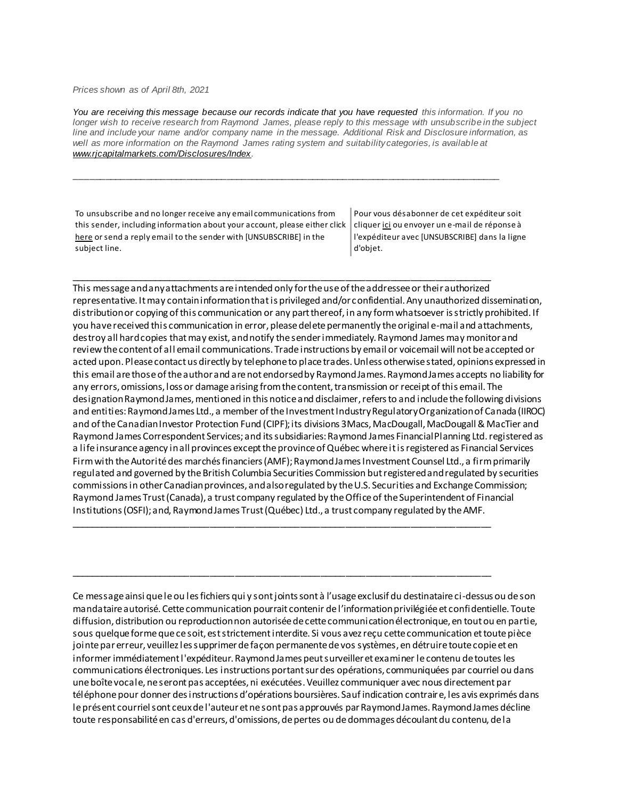*Prices shown as of April 8th, 2021*

*You are receiving this message because our records indicate that you have requested this information. If you no longer wish to receive research from Raymond James, please reply to this message with unsubscribe in the subject line and include your name and/or company name in the message. Additional Risk and Disclosure information, as*  well as more information on the Raymond James rating system and suitability categories, is available at *[www.rjcapitalmarkets.com/Disclosures/Index.](https://eur04.safelinks.protection.outlook.com/?url=https%3A%2F%2Furldefense.proofpoint.com%2Fv2%2Furl%3Fu%3Dhttps-3A__nam11.safelinks.protection.outlook.com_-3Furl-3Dhttps-253A-252F-252Fowa-2Dkel.raymondjames.ca-252Fowa-252Fredir.aspx-253FSURL-253DxhOB4gpVfLOskwdkUL9L2f18Fq4IG2rgvMfuIIX7BlwZiacj7DPTCGgAdAB0AHAAOgAvAC8AdwB3AHcALgByAGoAYwBhAHAAaQB0AGEAbABtAGEAcgBrAGUAdABzAC4AYwBvAG0ALwBEAGkAcwBjAGwAbwBzAHUAcgBlAHMALwBJAG4AZABlAHgA-2526URL-253Dhttp-25253a-25252f-25252fwww.rjcapitalmarkets.com-25252fDisclosures-25252fIndex-26data-3D02-257C01-257C-257Cc172461ecbee4482512908d85e8192cf-257C84df9e7fe9f640afb435aaaaaaaaaaaa-257C1-257C0-257C637363258183655664-26sdata-3DoIGN-252B1v-252BJNQ-252BZPo1ywEHtDOfbELe3OmLG-252FFg-252FM3Utoc-253D-26reserved-3D0%26d%3DDwMF-g%26c%3DK3dQCUGiI1B95NJ6cl3GoyhMW2dvBOfimZA-83UXll0%26r%3D_6MBBSGYsFznIBwslhTiqBKEz4pHUCTd_9tbh_EpUMY%26m%3D7qOaEnVxLdGuCP74qXGTNk9xkBSFm8R3CYYmRfTv9PQ%26s%3DDBdK_pzBuQHicYmhkDa-8JlRVcVl-oi24aL_wseaH40%26e%3D&data=02%7C01%7C%7C8a16eb9ab3cc4e585bab08d86b14e24b%7C84df9e7fe9f640afb435aaaaaaaaaaaa%7C1%7C0%7C637377085227594375&sdata=vgGto1%2FhV2xjMnN%2FKDjJX5uFHJYLmdfONSg1ff%2FTQzY%3D&reserved=0)*

\_\_\_\_\_\_\_\_\_\_\_\_\_\_\_\_\_\_\_\_\_\_\_\_\_\_\_\_\_\_\_\_\_\_\_\_\_\_\_\_\_\_\_\_\_\_\_\_\_\_\_\_\_\_\_\_\_\_\_\_\_\_\_\_\_\_\_\_\_\_\_\_\_\_\_\_\_\_\_\_\_\_\_\_

To unsubscribe and no longer receive any email communications from this sender, including information about your account, please either click [here](mailto:paul.siluch@raymondjames.ca?subject=[UNSUBSCRIBE]&body=I%20wish%20to%20unsubscribe%20from%20all%20commercial%20electronic%20messages%20from%20this%20sender.%20%20There%20may%20be%20other%20employees%20or%20agents%20within%20Raymond%20James%20which%20communicate%20with%20me%20electronically%20and%20I%20understand%20that%20I%20may%20unsubscribe%20from%20these%20senders%20separately.) or send a reply email to the sender with [UNSUBSCRIBE] in the subject line.

Pour vous désabonner de cet expéditeur soit clique[r ici](mailto:paul.siluch@raymondjames.ca?subject=[UNSUBSCRIBE]&body=Je%20souhaite%20me%20désinscrire%20de%20tous%20les%20messages%20électroniques%20commerciaux.%20Il%20peut%20y%20avoir%20d) ou envoyer un e-mail de réponse à l'expéditeur avec [UNSUBSCRIBE] dans la ligne d'objet.

\_\_\_\_\_\_\_\_\_\_\_\_\_\_\_\_\_\_\_\_\_\_\_\_\_\_\_\_\_\_\_\_\_\_\_\_\_\_\_\_\_\_\_\_\_\_\_\_\_\_\_\_\_\_\_\_\_\_\_\_\_\_\_\_\_\_\_\_\_\_\_\_\_\_\_\_\_\_\_\_\_\_\_\_ This message and any attachments are intended only for the use of the addressee or their authorized representative. It may contain information that is privileged and/or confidential. Any unauthorized dissemination, distribution or copying of this communication or any part thereof, in any form whatsoever is strictly prohibited. If you have received this communication in error, please delete permanently the original e-mail and attachments, destroy all hard copies that may exist, and notify the sender immediately. Raymond James may monitor and review the content of all email communications. Trade instructions by email or voicemail will not be accepted or acted upon. Please contact us directly by telephone to place trades. Unless otherwise stated, opinions expressed in this email are those of the author and are not endorsed by Raymond James. Raymond James accepts no liability for any errors, omissions, loss or damage arising from the content, transmission or receipt of this email. The designation Raymond James, mentioned in this notice and disclaimer, refers to and include the following divisions and entities: Raymond James Ltd., a member of the Investment Industry Regulatory Organization of Canada (IIROC) and of the Canadian Investor Protection Fund (CIPF); its divisions 3Macs, MacDougall, MacDougall & MacTier and Raymond James Correspondent Services; and its subsidiaries: Raymond James Financial Planning Ltd. registered as a life insurance agency in all provinces except the province of Québec where it is registered as Financial Services Firm with the Autorité des marchés financiers (AMF); Raymond James Investment Counsel Ltd., a firm primarily regulated and governed by the British Columbia Securities Commission but registered and regulated by securities commissions in other Canadian provinces, and also regulated by the U.S. Securities and Exchange Commission; Raymond James Trust (Canada), a trust company regulated by the Office of the Superintendent of Financial Institutions (OSFI); and, Raymond James Trust (Québec) Ltd., a trust company regulated by the AMF.

Ce message ainsi que le ou les fichiers qui y sont joints sont à l'usage exclusif du destinataire ci-dessus ou de son mandataire autorisé. Cette communication pourrait contenir de l'information privilégiée et confidentielle. Toute diffusion, distribution ou reproduction non autorisée de cette communication électronique, en tout ou en partie, sous quelque forme que ce soit, est strictement interdite. Si vous avez reçu cette communication et toute pièce jointe par erreur, veuillez les supprimer de façon permanente de vos systèmes, en détruire toute copie et en informer immédiatement l'expéditeur. Raymond James peut surveiller et examiner le contenu de toutes les communications électroniques. Les instructions portant sur des opérations, communiquées par courriel ou dans une boîte vocale, ne seront pas acceptées, ni exécutées. Veuillez communiquer avec nous directement par téléphone pour donner des instructions d'opérations boursières. Sauf indication contraire, les avis exprimés dans le présent courriel sont ceux de l'auteur et ne sont pas approuvés par Raymond James. Raymond James décline toute responsabilité en cas d'erreurs, d'omissions, de pertes ou de dommages découlant du contenu, de la

\_\_\_\_\_\_\_\_\_\_\_\_\_\_\_\_\_\_\_\_\_\_\_\_\_\_\_\_\_\_\_\_\_\_\_\_\_\_\_\_\_\_\_\_\_\_\_\_\_\_\_\_\_\_\_\_\_\_\_\_\_\_\_\_\_\_\_\_\_\_\_\_\_\_\_\_\_\_\_\_\_\_\_\_

\_\_\_\_\_\_\_\_\_\_\_\_\_\_\_\_\_\_\_\_\_\_\_\_\_\_\_\_\_\_\_\_\_\_\_\_\_\_\_\_\_\_\_\_\_\_\_\_\_\_\_\_\_\_\_\_\_\_\_\_\_\_\_\_\_\_\_\_\_\_\_\_\_\_\_\_\_\_\_\_\_\_\_\_